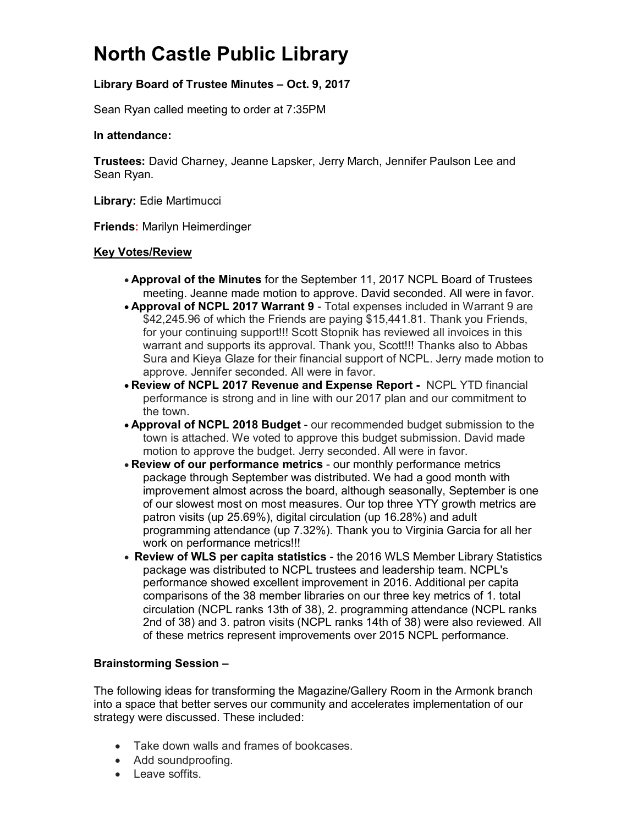# **North Castle Public Library**

## **Library Board of Trustee Minutes – Oct. 9, 2017**

Sean Ryan called meeting to order at 7:35PM

#### **In attendance:**

**Trustees:** David Charney, Jeanne Lapsker, Jerry March, Jennifer Paulson Lee and Sean Ryan.

**Library:** Edie Martimucci

**Friends:** Marilyn Heimerdinger

#### **Key Votes/Review**

- **Approval of the Minutes** for the September 11, 2017 NCPL Board of Trustees meeting. Jeanne made motion to approve. David seconded. All were in favor.
- **Approval of NCPL 2017 Warrant 9** Total expenses included in Warrant 9 are \$42,245.96 of which the Friends are paying \$15,441.81. Thank you Friends, for your continuing support!!! Scott Stopnik has reviewed all invoices in this warrant and supports its approval. Thank you, Scott!!! Thanks also to Abbas Sura and Kieya Glaze for their financial support of NCPL. Jerry made motion to approve. Jennifer seconded. All were in favor.
- **Review of NCPL 2017 Revenue and Expense Report -** NCPL YTD financial performance is strong and in line with our 2017 plan and our commitment to the town.
- **Approval of NCPL 2018 Budget** our recommended budget submission to the town is attached. We voted to approve this budget submission. David made motion to approve the budget. Jerry seconded. All were in favor.
- **Review of our performance metrics** our monthly performance metrics package through September was distributed. We had a good month with improvement almost across the board, although seasonally, September is one of our slowest most on most measures. Our top three YTY growth metrics are patron visits (up 25.69%), digital circulation (up 16.28%) and adult programming attendance (up 7.32%). Thank you to Virginia Garcia for all her work on performance metrics!!!
- **Review of WLS per capita statistics** the 2016 WLS Member Library Statistics package was distributed to NCPL trustees and leadership team. NCPL's performance showed excellent improvement in 2016. Additional per capita comparisons of the 38 member libraries on our three key metrics of 1. total circulation (NCPL ranks 13th of 38), 2. programming attendance (NCPL ranks 2nd of 38) and 3. patron visits (NCPL ranks 14th of 38) were also reviewed. All of these metrics represent improvements over 2015 NCPL performance.

### **Brainstorming Session –**

The following ideas for transforming the Magazine/Gallery Room in the Armonk branch into a space that better serves our community and accelerates implementation of our strategy were discussed. These included:

- Take down walls and frames of bookcases.
- Add soundproofing.
- Leave soffits.